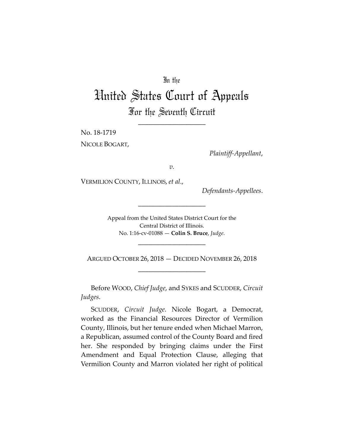## In the

## United States Court of Appeals For the Seventh Circuit

\_\_\_\_\_\_\_\_\_\_\_\_\_\_\_\_\_\_\_\_

No. 18-1719

NICOLE BOGART,

*Plaintiff-Appellant*,

*v.*

VERMILION COUNTY, ILLINOIS, *et al*.,

*Defendants-Appellees*.

Appeal from the United States District Court for the Central District of Illinois. No. 1:16-cv-01088 — **Colin S. Bruce**, *Judge*.

\_\_\_\_\_\_\_\_\_\_\_\_\_\_\_\_\_\_\_\_

ARGUED OCTOBER 26, 2018 — DECIDED NOVEMBER 26, 2018 \_\_\_\_\_\_\_\_\_\_\_\_\_\_\_\_\_\_\_\_

\_\_\_\_\_\_\_\_\_\_\_\_\_\_\_\_\_\_\_\_

Before WOOD, *Chief Judge*, and SYKES and SCUDDER, *Circuit Judges*.

SCUDDER, *Circuit Judge*. Nicole Bogart, a Democrat, worked as the Financial Resources Director of Vermilion County, Illinois, but her tenure ended when Michael Marron, a Republican, assumed control of the County Board and fired her. She responded by bringing claims under the First Amendment and Equal Protection Clause, alleging that Vermilion County and Marron violated her right of political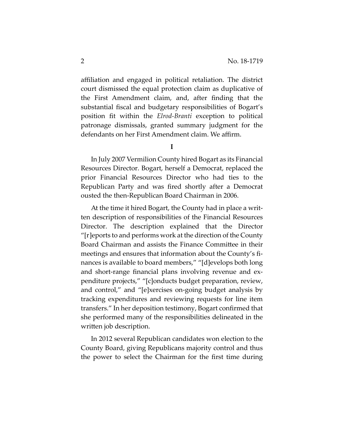affiliation and engaged in political retaliation. The district court dismissed the equal protection claim as duplicative of the First Amendment claim, and, after finding that the substantial fiscal and budgetary responsibilities of Bogart's position fit within the *Elrod-Branti* exception to political patronage dismissals, granted summary judgment for the defendants on her First Amendment claim. We affirm.

**I** 

In July 2007 Vermilion County hired Bogart as its Financial Resources Director. Bogart, herself a Democrat, replaced the prior Financial Resources Director who had ties to the Republican Party and was fired shortly after a Democrat ousted the then-Republican Board Chairman in 2006.

At the time it hired Bogart, the County had in place a written description of responsibilities of the Financial Resources Director. The description explained that the Director "[r]eports to and performs work at the direction of the County Board Chairman and assists the Finance Committee in their meetings and ensures that information about the County's finances is available to board members," "[d]evelops both long and short-range financial plans involving revenue and expenditure projects," "[c]onducts budget preparation, review, and control," and "[e]xercises on-going budget analysis by tracking expenditures and reviewing requests for line item transfers." In her deposition testimony, Bogart confirmed that she performed many of the responsibilities delineated in the written job description.

In 2012 several Republican candidates won election to the County Board, giving Republicans majority control and thus the power to select the Chairman for the first time during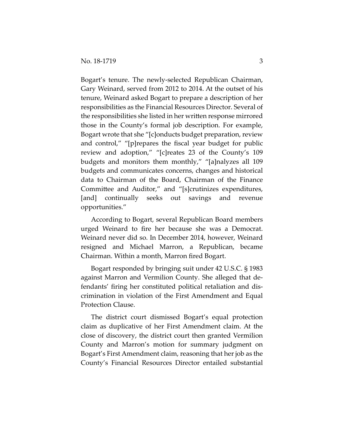Bogart's tenure. The newly-selected Republican Chairman, Gary Weinard, served from 2012 to 2014. At the outset of his tenure, Weinard asked Bogart to prepare a description of her responsibilities as the Financial Resources Director. Several of the responsibilities she listed in her written response mirrored those in the County's formal job description. For example, Bogart wrote that she "[c]onducts budget preparation, review and control," "[p]repares the fiscal year budget for public review and adoption," "[c]reates 23 of the County's 109 budgets and monitors them monthly," "[a]nalyzes all 109 budgets and communicates concerns, changes and historical data to Chairman of the Board, Chairman of the Finance Committee and Auditor," and "[s]crutinizes expenditures, [and] continually seeks out savings and revenue opportunities."

According to Bogart, several Republican Board members urged Weinard to fire her because she was a Democrat. Weinard never did so. In December 2014, however, Weinard resigned and Michael Marron, a Republican, became Chairman. Within a month, Marron fired Bogart.

Bogart responded by bringing suit under 42 U.S.C. § 1983 against Marron and Vermilion County. She alleged that defendants' firing her constituted political retaliation and discrimination in violation of the First Amendment and Equal Protection Clause.

The district court dismissed Bogart's equal protection claim as duplicative of her First Amendment claim. At the close of discovery, the district court then granted Vermilion County and Marron's motion for summary judgment on Bogart's First Amendment claim, reasoning that her job as the County's Financial Resources Director entailed substantial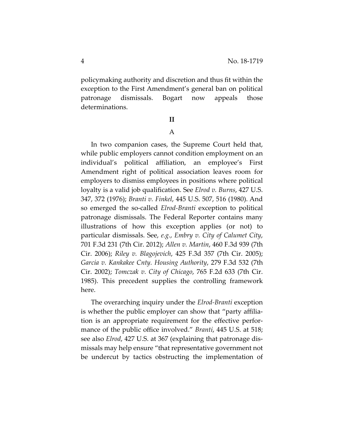policymaking authority and discretion and thus fit within the exception to the First Amendment's general ban on political patronage dismissals. Bogart now appeals those determinations.

## **II**

## A

In two companion cases, the Supreme Court held that, while public employers cannot condition employment on an individual's political affiliation, an employee's First Amendment right of political association leaves room for employers to dismiss employees in positions where political loyalty is a valid job qualification. See *Elrod v. Burns*, 427 U.S. 347, 372 (1976); *Branti v. Finkel*, 445 U.S. 507, 516 (1980). And so emerged the so-called *Elrod-Branti* exception to political patronage dismissals. The Federal Reporter contains many illustrations of how this exception applies (or not) to particular dismissals. See, *e.g.*, *Embry v. City of Calumet City*, 701 F.3d 231 (7th Cir. 2012); *Allen v. Martin*, 460 F.3d 939 (7th Cir. 2006); *Riley v. Blagojevich*, 425 F.3d 357 (7th Cir. 2005); *Garcia v. Kankakee Cnty. Housing Authority*, 279 F.3d 532 (7th Cir. 2002); *Tomczak v. City of Chicago*, 765 F.2d 633 (7th Cir. 1985). This precedent supplies the controlling framework here.

The overarching inquiry under the *Elrod-Branti* exception is whether the public employer can show that "party affiliation is an appropriate requirement for the effective performance of the public office involved." *Branti*, 445 U.S. at 518; see also *Elrod*, 427 U.S. at 367 (explaining that patronage dismissals may help ensure "that representative government not be undercut by tactics obstructing the implementation of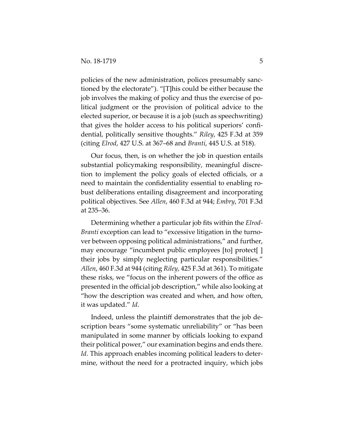policies of the new administration, polices presumably sanctioned by the electorate"). "[T]his could be either because the job involves the making of policy and thus the exercise of political judgment or the provision of political advice to the elected superior, or because it is a job (such as speechwriting) that gives the holder access to his political superiors' confidential, politically sensitive thoughts." *Riley*, 425 F.3d at 359 (citing *Elrod*, 427 U.S. at 367–68 and *Branti*, 445 U.S. at 518).

Our focus, then, is on whether the job in question entails substantial policymaking responsibility, meaningful discretion to implement the policy goals of elected officials, or a need to maintain the confidentiality essential to enabling robust deliberations entailing disagreement and incorporating political objectives. See *Allen*, 460 F.3d at 944; *Embry*, 701 F.3d at 235–36.

Determining whether a particular job fits within the *Elrod-Branti* exception can lead to "excessive litigation in the turnover between opposing political administrations," and further, may encourage "incumbent public employees [to] protect[ ] their jobs by simply neglecting particular responsibilities." *Allen*, 460 F.3d at 944 (citing *Riley*, 425 F.3d at 361). To mitigate these risks, we "focus on the inherent powers of the office as presented in the official job description," while also looking at "how the description was created and when, and how often, it was updated." *Id*.

Indeed, unless the plaintiff demonstrates that the job description bears "some systematic unreliability" or "has been manipulated in some manner by officials looking to expand their political power," our examination begins and ends there. *Id*. This approach enables incoming political leaders to determine, without the need for a protracted inquiry, which jobs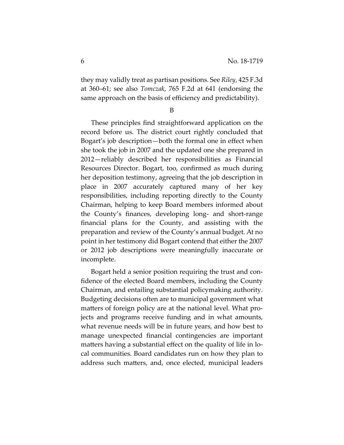they may validly treat as partisan positions. See *Riley*, 425 F.3d at 360–61; see also *Tomczak*, 765 F.2d at 641 (endorsing the same approach on the basis of efficiency and predictability).

B

These principles find straightforward application on the record before us. The district court rightly concluded that Bogart's job description—both the formal one in effect when she took the job in 2007 and the updated one she prepared in 2012—reliably described her responsibilities as Financial Resources Director. Bogart, too, confirmed as much during her deposition testimony, agreeing that the job description in place in 2007 accurately captured many of her key responsibilities, including reporting directly to the County Chairman, helping to keep Board members informed about the County's finances, developing long- and short-range financial plans for the County, and assisting with the preparation and review of the County's annual budget. At no point in her testimony did Bogart contend that either the 2007 or 2012 job descriptions were meaningfully inaccurate or incomplete.

Bogart held a senior position requiring the trust and confidence of the elected Board members, including the County Chairman, and entailing substantial policymaking authority. Budgeting decisions often are to municipal government what matters of foreign policy are at the national level. What projects and programs receive funding and in what amounts, what revenue needs will be in future years, and how best to manage unexpected financial contingencies are important matters having a substantial effect on the quality of life in local communities. Board candidates run on how they plan to address such matters, and, once elected, municipal leaders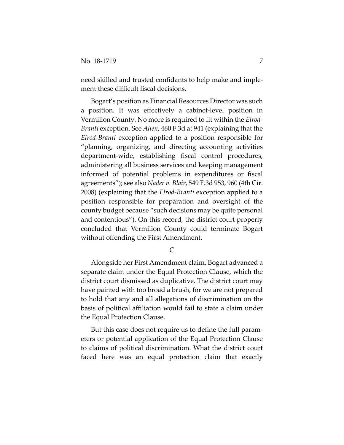need skilled and trusted confidants to help make and implement these difficult fiscal decisions.

Bogart's position as Financial Resources Director was such a position. It was effectively a cabinet-level position in Vermilion County. No more is required to fit within the *Elrod-Branti* exception. See *Allen*, 460 F.3d at 941 (explaining that the *Elrod-Branti* exception applied to a position responsible for "planning, organizing, and directing accounting activities department-wide, establishing fiscal control procedures, administering all business services and keeping management informed of potential problems in expenditures or fiscal agreements"); see also *Nader v. Blair*, 549 F.3d 953, 960 (4th Cir. 2008) (explaining that the *Elrod-Branti* exception applied to a position responsible for preparation and oversight of the county budget because "such decisions may be quite personal and contentious"). On this record, the district court properly concluded that Vermilion County could terminate Bogart without offending the First Amendment.

C

Alongside her First Amendment claim, Bogart advanced a separate claim under the Equal Protection Clause, which the district court dismissed as duplicative. The district court may have painted with too broad a brush, for we are not prepared to hold that any and all allegations of discrimination on the basis of political affiliation would fail to state a claim under the Equal Protection Clause.

But this case does not require us to define the full parameters or potential application of the Equal Protection Clause to claims of political discrimination. What the district court faced here was an equal protection claim that exactly